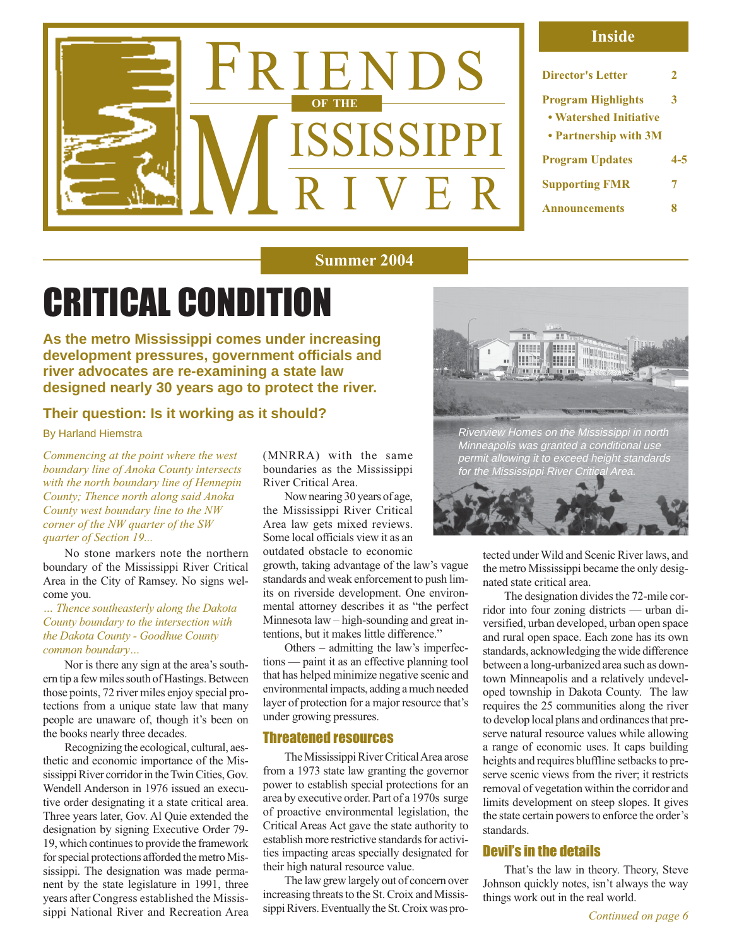

#### **Inside**

| Director's Letter                                                            | 2   |
|------------------------------------------------------------------------------|-----|
| <b>Program Highlights</b><br>• Watershed Initiative<br>• Partnership with 3M | 3   |
| <b>Program Updates</b>                                                       | 4-5 |
| <b>Supporting FMR</b>                                                        | 7   |
| <b>Announcements</b>                                                         |     |

#### **Summer 2004**

# CRITICAL CONDITION

**As the metro Mississippi comes under increasing development pressures, government officials and river advocates are re-examining a state law designed nearly 30 years ago to protect the river.**

#### **Their question: Is it working as it should?**

By Harland Hiemstra

*Commencing at the point where the west boundary line of Anoka County intersects with the north boundary line of Hennepin County; Thence north along said Anoka County west boundary line to the NW corner of the NW quarter of the SW quarter of Section 19...*

No stone markers note the northern boundary of the Mississippi River Critical Area in the City of Ramsey. No signs welcome you.

*… Thence southeasterly along the Dakota County boundary to the intersection with the Dakota County - Goodhue County common boundary…*

Nor is there any sign at the area's southern tip a few miles south of Hastings. Between those points, 72 river miles enjoy special protections from a unique state law that many people are unaware of, though it's been on the books nearly three decades.

Recognizing the ecological, cultural, aesthetic and economic importance of the Mississippi River corridor in the Twin Cities, Gov. Wendell Anderson in 1976 issued an executive order designating it a state critical area. Three years later, Gov. Al Quie extended the designation by signing Executive Order 79- 19, which continues to provide the framework for special protections afforded the metro Mississippi. The designation was made permanent by the state legislature in 1991, three years after Congress established the Mississippi National River and Recreation Area

(MNRRA) with the same boundaries as the Mississippi River Critical Area.

Now nearing 30 years of age, the Mississippi River Critical Area law gets mixed reviews. Some local officials view it as an outdated obstacle to economic

growth, taking advantage of the law's vague standards and weak enforcement to push limits on riverside development. One environmental attorney describes it as "the perfect Minnesota law – high-sounding and great intentions, but it makes little difference."

Others – admitting the law's imperfections — paint it as an effective planning tool that has helped minimize negative scenic and environmental impacts, adding a much needed layer of protection for a major resource that's under growing pressures.

#### Threatened resources

The Mississippi River Critical Area arose from a 1973 state law granting the governor power to establish special protections for an area by executive order. Part of a 1970s surge of proactive environmental legislation, the Critical Areas Act gave the state authority to establish more restrictive standards for activities impacting areas specially designated for their high natural resource value.

The law grew largely out of concern over increasing threats to the St. Croix and Mississippi Rivers. Eventually the St. Croix was pro-





tected under Wild and Scenic River laws, and the metro Mississippi became the only designated state critical area.

The designation divides the 72-mile corridor into four zoning districts — urban diversified, urban developed, urban open space and rural open space. Each zone has its own standards, acknowledging the wide difference between a long-urbanized area such as downtown Minneapolis and a relatively undeveloped township in Dakota County. The law requires the 25 communities along the river to develop local plans and ordinances that preserve natural resource values while allowing a range of economic uses. It caps building heights and requires bluffline setbacks to preserve scenic views from the river; it restricts removal of vegetation within the corridor and limits development on steep slopes. It gives the state certain powers to enforce the order's standards.

#### Devil's in the details

That's the law in theory. Theory, Steve Johnson quickly notes, isn't always the way things work out in the real world.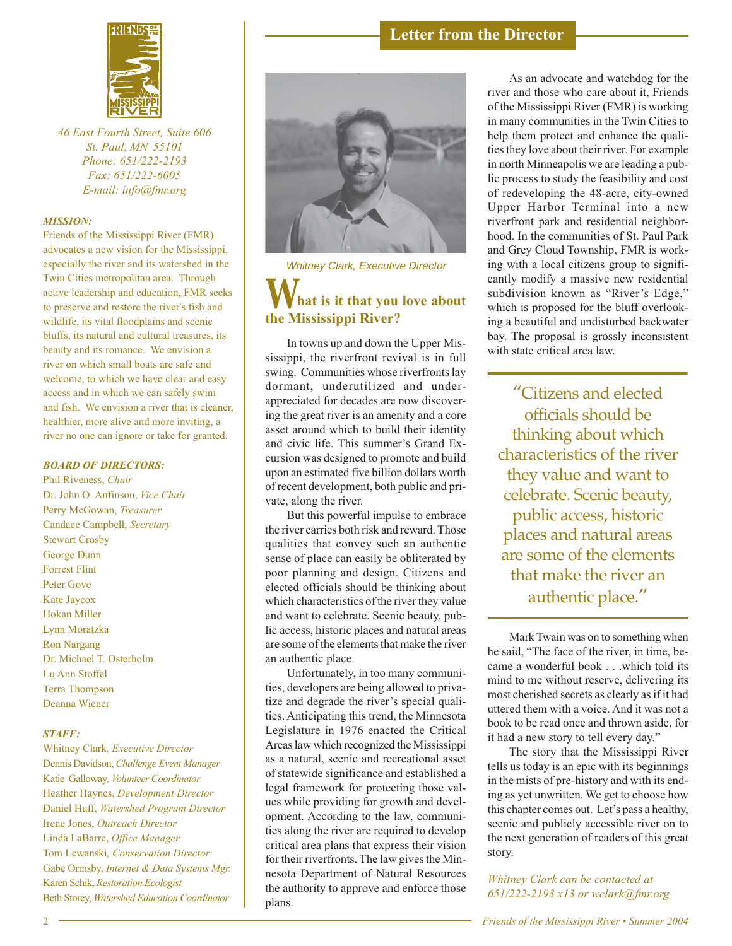

*46 East Fourth Street, Suite 606 St. Paul, MN 55101 Phone: 651/222-2193 Fax: 651/222-6005 E-mail: info@fmr.org*

#### *MISSION:*

Friends of the Mississippi River (FMR) advocates a new vision for the Mississippi, especially the river and its watershed in the Twin Cities metropolitan area. Through active leadership and education, FMR seeks to preserve and restore the river's fish and wildlife, its vital floodplains and scenic bluffs, its natural and cultural treasures, its beauty and its romance. We envision a river on which small boats are safe and welcome, to which we have clear and easy access and in which we can safely swim and fish. We envision a river that is cleaner, healthier, more alive and more inviting, a river no one can ignore or take for granted.

#### *BOARD OF DIRECTORS:*

Phil Riveness, *Chair* Dr. John O. Anfinson, *Vice Chair* Perry McGowan, *Treasurer* Candace Campbell, *Secretary* Stewart Crosby George Dunn Forrest Flint Peter Gove Kate Jaycox Hokan Miller Lynn Moratzka Ron Nargang Dr. Michael T. Osterholm Lu Ann Stoffel Terra Thompson Deanna Wiener

#### *STAFF:*

Whitney Clark*, Executive Director* Dennis Davidson, *Challenge Event Manager* Katie Galloway*, Volunteer Coordinator* Heather Haynes, *Development Director* Daniel Huff, *Watershed Program Director* Irene Jones, *Outreach Director* Linda LaBarre, *Office Manager* Tom Lewanski*, Conservation Director* Gabe Ormsby, *Internet & Data Systems Mgr.* Karen Schik, *Restoration Ecologist* Beth Storey, *Watershed Education Coordinator*





Whitney Clark, Executive Director

#### **hat is it that you love about the Mississippi River?** *W*

In towns up and down the Upper Mississippi, the riverfront revival is in full swing. Communities whose riverfronts lay dormant, underutilized and underappreciated for decades are now discovering the great river is an amenity and a core asset around which to build their identity and civic life. This summer's Grand Excursion was designed to promote and build upon an estimated five billion dollars worth of recent development, both public and private, along the river.

But this powerful impulse to embrace the river carries both risk and reward. Those qualities that convey such an authentic sense of place can easily be obliterated by poor planning and design. Citizens and elected officials should be thinking about which characteristics of the river they value and want to celebrate. Scenic beauty, public access, historic places and natural areas are some of the elements that make the river an authentic place.

Unfortunately, in too many communities, developers are being allowed to privatize and degrade the river's special qualities. Anticipating this trend, the Minnesota Legislature in 1976 enacted the Critical Areas law which recognized the Mississippi as a natural, scenic and recreational asset of statewide significance and established a legal framework for protecting those values while providing for growth and development. According to the law, communities along the river are required to develop critical area plans that express their vision for their riverfronts. The law gives the Minnesota Department of Natural Resources the authority to approve and enforce those plans.

As an advocate and watchdog for the river and those who care about it, Friends of the Mississippi River (FMR) is working in many communities in the Twin Cities to help them protect and enhance the qualities they love about their river. For example in north Minneapolis we are leading a public process to study the feasibility and cost of redeveloping the 48-acre, city-owned Upper Harbor Terminal into a new riverfront park and residential neighborhood. In the communities of St. Paul Park and Grey Cloud Township, FMR is working with a local citizens group to significantly modify a massive new residential subdivision known as "River's Edge," which is proposed for the bluff overlooking a beautiful and undisturbed backwater bay. The proposal is grossly inconsistent with state critical area law.

"Citizens and elected officials should be thinking about which characteristics of the river they value and want to celebrate. Scenic beauty, public access, historic places and natural areas are some of the elements that make the river an authentic place."

Mark Twain was on to something when he said, "The face of the river, in time, became a wonderful book . . .which told its mind to me without reserve, delivering its most cherished secrets as clearly as if it had uttered them with a voice. And it was not a book to be read once and thrown aside, for it had a new story to tell every day."

The story that the Mississippi River tells us today is an epic with its beginnings in the mists of pre-history and with its ending as yet unwritten. We get to choose how this chapter comes out. Let's pass a healthy, scenic and publicly accessible river on to the next generation of readers of this great story.

*Whitney Clark can be contacted at 651/222-2193 x13 or wclark@fmr.org*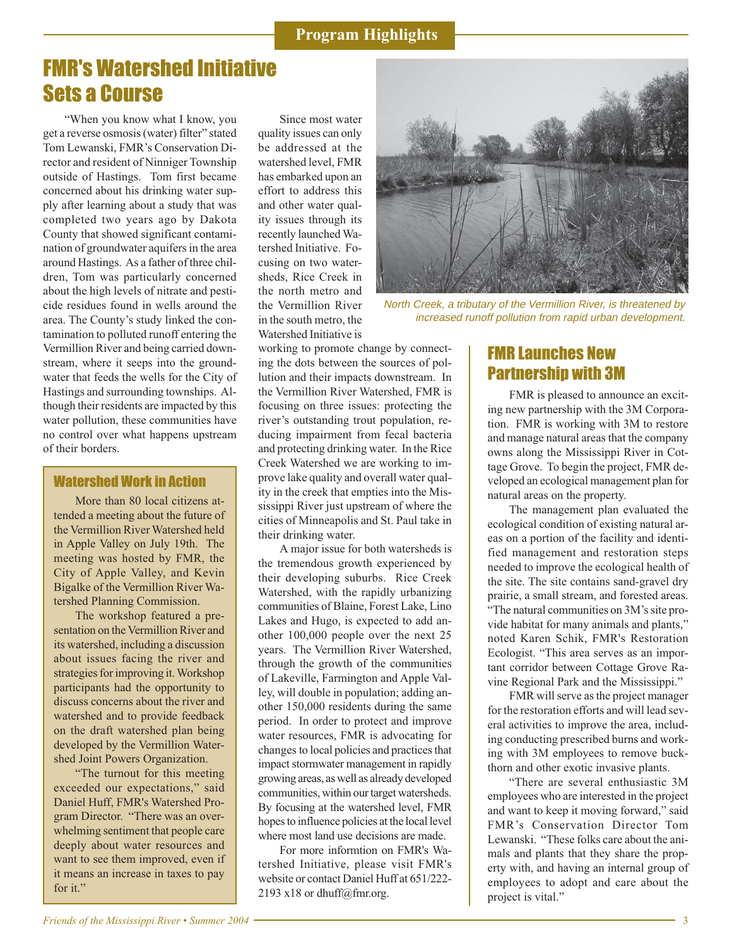### FMR's Watershed Initiative Sets a Course

"When you know what I know, you get a reverse osmosis (water) filter" stated Tom Lewanski, FMR's Conservation Director and resident of Ninniger Township outside of Hastings. Tom first became concerned about his drinking water supply after learning about a study that was completed two years ago by Dakota County that showed significant contamination of groundwater aquifers in the area around Hastings. As a father of three children, Tom was particularly concerned about the high levels of nitrate and pesticide residues found in wells around the area. The County's study linked the contamination to polluted runoff entering the Vermillion River and being carried downstream, where it seeps into the groundwater that feeds the wells for the City of Hastings and surrounding townships. Although their residents are impacted by this water pollution, these communities have no control over what happens upstream of their borders.

#### Watershed Work in Action

More than 80 local citizens attended a meeting about the future of the Vermillion River Watershed held in Apple Valley on July 19th. The meeting was hosted by FMR, the City of Apple Valley, and Kevin Bigalke of the Vermillion River Watershed Planning Commission.

The workshop featured a presentation on the Vermillion River and its watershed, including a discussion about issues facing the river and strategies for improving it. Workshop participants had the opportunity to discuss concerns about the river and watershed and to provide feedback on the draft watershed plan being developed by the Vermillion Watershed Joint Powers Organization.

"The turnout for this meeting exceeded our expectations," said Daniel Huff, FMR's Watershed Program Director. "There was an overwhelming sentiment that people care deeply about water resources and want to see them improved, even if it means an increase in taxes to pay for it."

Since most water quality issues can only be addressed at the watershed level, FMR has embarked upon an effort to address this and other water quality issues through its recently launched Watershed Initiative. Focusing on two watersheds, Rice Creek in the north metro and the Vermillion River in the south metro, the Watershed Initiative is



North Creek, a tributary of the Vermillion River, is threatened by increased runoff pollution from rapid urban development.

working to promote change by connecting the dots between the sources of pollution and their impacts downstream. In the Vermillion River Watershed, FMR is focusing on three issues: protecting the river's outstanding trout population, reducing impairment from fecal bacteria and protecting drinking water. In the Rice Creek Watershed we are working to improve lake quality and overall water quality in the creek that empties into the Mississippi River just upstream of where the cities of Minneapolis and St. Paul take in their drinking water.

A major issue for both watersheds is the tremendous growth experienced by their developing suburbs. Rice Creek Watershed, with the rapidly urbanizing communities of Blaine, Forest Lake, Lino Lakes and Hugo, is expected to add another 100,000 people over the next 25 years. The Vermillion River Watershed, through the growth of the communities of Lakeville, Farmington and Apple Valley, will double in population; adding another 150,000 residents during the same period. In order to protect and improve water resources, FMR is advocating for changes to local policies and practices that impact stormwater management in rapidly growing areas, as well as already developed communities, within our target watersheds. By focusing at the watershed level, FMR hopes to influence policies at the local level where most land use decisions are made.

For more informtion on FMR's Watershed Initiative, please visit FMR's website or contact Daniel Huff at 651/222- 2193 x18 or dhuff@fmr.org.

### FMR Launches New Partnership with 3M

FMR is pleased to announce an exciting new partnership with the 3M Corporation. FMR is working with 3M to restore and manage natural areas that the company owns along the Mississippi River in Cottage Grove. To begin the project, FMR developed an ecological management plan for natural areas on the property.

The management plan evaluated the ecological condition of existing natural areas on a portion of the facility and identified management and restoration steps needed to improve the ecological health of the site. The site contains sand-gravel dry prairie, a small stream, and forested areas. "The natural communities on 3M's site provide habitat for many animals and plants," noted Karen Schik, FMR's Restoration Ecologist. "This area serves as an important corridor between Cottage Grove Ravine Regional Park and the Mississippi."

FMR will serve as the project manager for the restoration efforts and will lead several activities to improve the area, including conducting prescribed burns and working with 3M employees to remove buckthorn and other exotic invasive plants.

"There are several enthusiastic 3M employees who are interested in the project and want to keep it moving forward," said FMR's Conservation Director Tom Lewanski. "These folks care about the animals and plants that they share the property with, and having an internal group of employees to adopt and care about the project is vital."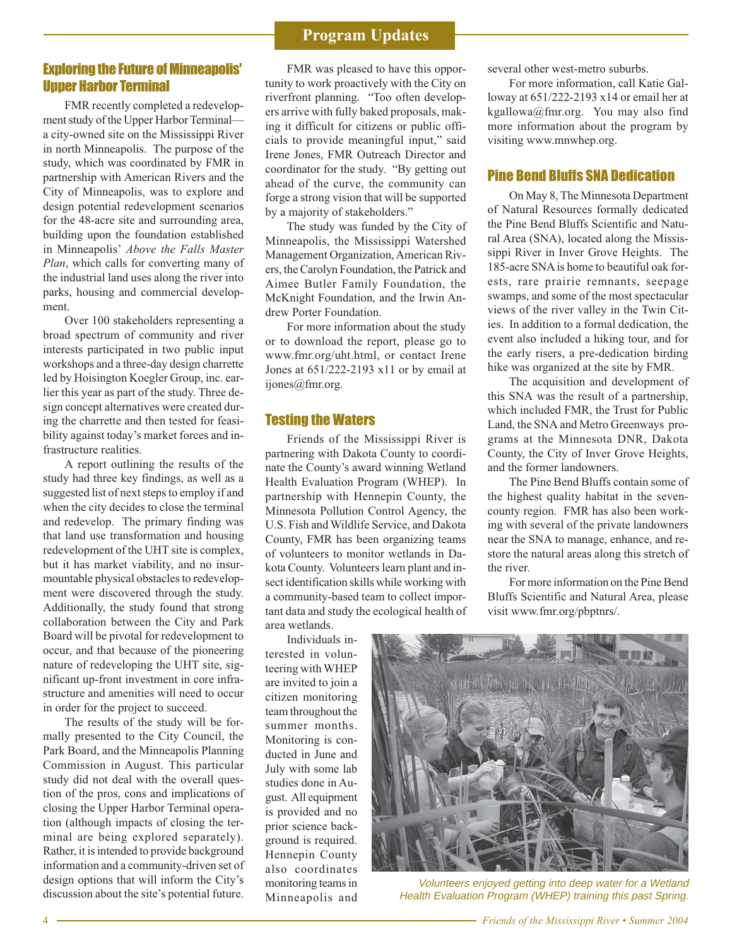#### **Program Updates**

#### Exploring the Future of Minneapolis' Upper Harbor Terminal

FMR recently completed a redevelopment study of the Upper Harbor Terminal a city-owned site on the Mississippi River in north Minneapolis. The purpose of the study, which was coordinated by FMR in partnership with American Rivers and the City of Minneapolis, was to explore and design potential redevelopment scenarios for the 48-acre site and surrounding area, building upon the foundation established in Minneapolis' *Above the Falls Master Plan*, which calls for converting many of the industrial land uses along the river into parks, housing and commercial development.

Over 100 stakeholders representing a broad spectrum of community and river interests participated in two public input workshops and a three-day design charrette led by Hoisington Koegler Group, inc. earlier this year as part of the study. Three design concept alternatives were created during the charrette and then tested for feasibility against today's market forces and infrastructure realities.

A report outlining the results of the study had three key findings, as well as a suggested list of next steps to employ if and when the city decides to close the terminal and redevelop. The primary finding was that land use transformation and housing redevelopment of the UHT site is complex, but it has market viability, and no insurmountable physical obstacles to redevelopment were discovered through the study. Additionally, the study found that strong collaboration between the City and Park Board will be pivotal for redevelopment to occur, and that because of the pioneering nature of redeveloping the UHT site, significant up-front investment in core infrastructure and amenities will need to occur in order for the project to succeed.

The results of the study will be formally presented to the City Council, the Park Board, and the Minneapolis Planning Commission in August. This particular study did not deal with the overall question of the pros, cons and implications of closing the Upper Harbor Terminal operation (although impacts of closing the terminal are being explored separately). Rather, it is intended to provide background information and a community-driven set of design options that will inform the City's discussion about the site's potential future.

FMR was pleased to have this opportunity to work proactively with the City on riverfront planning. "Too often developers arrive with fully baked proposals, making it difficult for citizens or public officials to provide meaningful input," said Irene Jones, FMR Outreach Director and coordinator for the study. "By getting out ahead of the curve, the community can forge a strong vision that will be supported by a majority of stakeholders."

The study was funded by the City of Minneapolis, the Mississippi Watershed Management Organization, American Rivers, the Carolyn Foundation, the Patrick and Aimee Butler Family Foundation, the McKnight Foundation, and the Irwin Andrew Porter Foundation.

For more information about the study or to download the report, please go to www.fmr.org/uht.html, or contact Irene Jones at 651/222-2193 x11 or by email at ijones@fmr.org.

#### Testing the Waters

Friends of the Mississippi River is partnering with Dakota County to coordinate the County's award winning Wetland Health Evaluation Program (WHEP). In partnership with Hennepin County, the Minnesota Pollution Control Agency, the U.S. Fish and Wildlife Service, and Dakota County, FMR has been organizing teams of volunteers to monitor wetlands in Dakota County. Volunteers learn plant and insect identification skills while working with a community-based team to collect important data and study the ecological health of area wetlands.

Individuals interested in volunteering with WHEP are invited to join a citizen monitoring team throughout the summer months. Monitoring is conducted in June and July with some lab studies done in August. All equipment is provided and no prior science background is required. Hennepin County also coordinates monitoring teams in Minneapolis and several other west-metro suburbs.

For more information, call Katie Galloway at 651/222-2193 x14 or email her at kgallowa@fmr.org. You may also find more information about the program by visiting www.mnwhep.org.

#### Pine Bend Bluffs SNA Dedication

On May 8, The Minnesota Department of Natural Resources formally dedicated the Pine Bend Bluffs Scientific and Natural Area (SNA), located along the Mississippi River in Inver Grove Heights. The 185-acre SNA is home to beautiful oak forests, rare prairie remnants, seepage swamps, and some of the most spectacular views of the river valley in the Twin Cities. In addition to a formal dedication, the event also included a hiking tour, and for the early risers, a pre-dedication birding hike was organized at the site by FMR.

The acquisition and development of this SNA was the result of a partnership, which included FMR, the Trust for Public Land, the SNA and Metro Greenways programs at the Minnesota DNR, Dakota County, the City of Inver Grove Heights, and the former landowners.

The Pine Bend Bluffs contain some of the highest quality habitat in the sevencounty region. FMR has also been working with several of the private landowners near the SNA to manage, enhance, and restore the natural areas along this stretch of the river.

For more information on the Pine Bend Bluffs Scientific and Natural Area, please visit www.fmr.org/pbptnrs/.



Volunteers enjoyed getting into deep water for a Wetland Health Evaluation Program (WHEP) training this past Spring.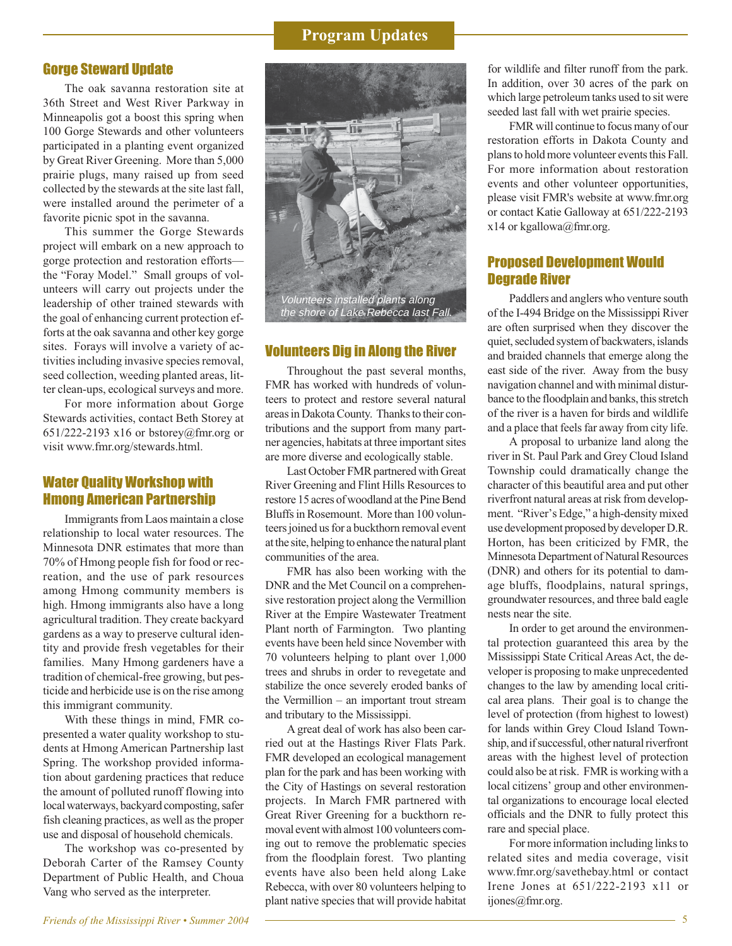#### **Program Updates**

#### Gorge Steward Update

The oak savanna restoration site at 36th Street and West River Parkway in Minneapolis got a boost this spring when 100 Gorge Stewards and other volunteers participated in a planting event organized by Great River Greening. More than 5,000 prairie plugs, many raised up from seed collected by the stewards at the site last fall, were installed around the perimeter of a favorite picnic spot in the savanna.

This summer the Gorge Stewards project will embark on a new approach to gorge protection and restoration efforts the "Foray Model." Small groups of volunteers will carry out projects under the leadership of other trained stewards with the goal of enhancing current protection efforts at the oak savanna and other key gorge sites. Forays will involve a variety of activities including invasive species removal, seed collection, weeding planted areas, litter clean-ups, ecological surveys and more.

For more information about Gorge Stewards activities, contact Beth Storey at 651/222-2193 x16 or bstorey@fmr.org or visit www.fmr.org/stewards.html.

#### Water Quality Workshop with Hmong American Partnership

Immigrants from Laos maintain a close relationship to local water resources. The Minnesota DNR estimates that more than 70% of Hmong people fish for food or recreation, and the use of park resources among Hmong community members is high. Hmong immigrants also have a long agricultural tradition. They create backyard gardens as a way to preserve cultural identity and provide fresh vegetables for their families. Many Hmong gardeners have a tradition of chemical-free growing, but pesticide and herbicide use is on the rise among this immigrant community.

With these things in mind, FMR copresented a water quality workshop to students at Hmong American Partnership last Spring. The workshop provided information about gardening practices that reduce the amount of polluted runoff flowing into local waterways, backyard composting, safer fish cleaning practices, as well as the proper use and disposal of household chemicals.

The workshop was co-presented by Deborah Carter of the Ramsey County Department of Public Health, and Choua Vang who served as the interpreter.



#### Volunteers Dig in Along the River

Throughout the past several months, FMR has worked with hundreds of volunteers to protect and restore several natural areas in Dakota County. Thanks to their contributions and the support from many partner agencies, habitats at three important sites are more diverse and ecologically stable.

Last October FMR partnered with Great River Greening and Flint Hills Resources to restore 15 acres of woodland at the Pine Bend Bluffs in Rosemount. More than 100 volunteers joined us for a buckthorn removal event at the site, helping to enhance the natural plant communities of the area.

FMR has also been working with the DNR and the Met Council on a comprehensive restoration project along the Vermillion River at the Empire Wastewater Treatment Plant north of Farmington. Two planting events have been held since November with 70 volunteers helping to plant over 1,000 trees and shrubs in order to revegetate and stabilize the once severely eroded banks of the Vermillion – an important trout stream and tributary to the Mississippi.

A great deal of work has also been carried out at the Hastings River Flats Park. FMR developed an ecological management plan for the park and has been working with the City of Hastings on several restoration projects. In March FMR partnered with Great River Greening for a buckthorn removal event with almost 100 volunteers coming out to remove the problematic species from the floodplain forest. Two planting events have also been held along Lake Rebecca, with over 80 volunteers helping to plant native species that will provide habitat for wildlife and filter runoff from the park. In addition, over 30 acres of the park on which large petroleum tanks used to sit were seeded last fall with wet prairie species.

FMR will continue to focus many of our restoration efforts in Dakota County and plans to hold more volunteer events this Fall. For more information about restoration events and other volunteer opportunities, please visit FMR's website at www.fmr.org or contact Katie Galloway at 651/222-2193  $x14$  or kgallowa@fmr.org.

#### Proposed Development Would Degrade River

Paddlers and anglers who venture south of the I-494 Bridge on the Mississippi River are often surprised when they discover the quiet, secluded system of backwaters, islands and braided channels that emerge along the east side of the river. Away from the busy navigation channel and with minimal disturbance to the floodplain and banks, this stretch of the river is a haven for birds and wildlife and a place that feels far away from city life.

A proposal to urbanize land along the river in St. Paul Park and Grey Cloud Island Township could dramatically change the character of this beautiful area and put other riverfront natural areas at risk from development. "River's Edge," a high-density mixed use development proposed by developer D.R. Horton, has been criticized by FMR, the Minnesota Department of Natural Resources (DNR) and others for its potential to damage bluffs, floodplains, natural springs, groundwater resources, and three bald eagle nests near the site.

In order to get around the environmental protection guaranteed this area by the Mississippi State Critical Areas Act, the developer is proposing to make unprecedented changes to the law by amending local critical area plans. Their goal is to change the level of protection (from highest to lowest) for lands within Grey Cloud Island Township, and if successful, other natural riverfront areas with the highest level of protection could also be at risk. FMR is working with a local citizens' group and other environmental organizations to encourage local elected officials and the DNR to fully protect this rare and special place.

For more information including links to related sites and media coverage, visit www.fmr.org/savethebay.html or contact Irene Jones at 651/222-2193 x11 or ijones@fmr.org.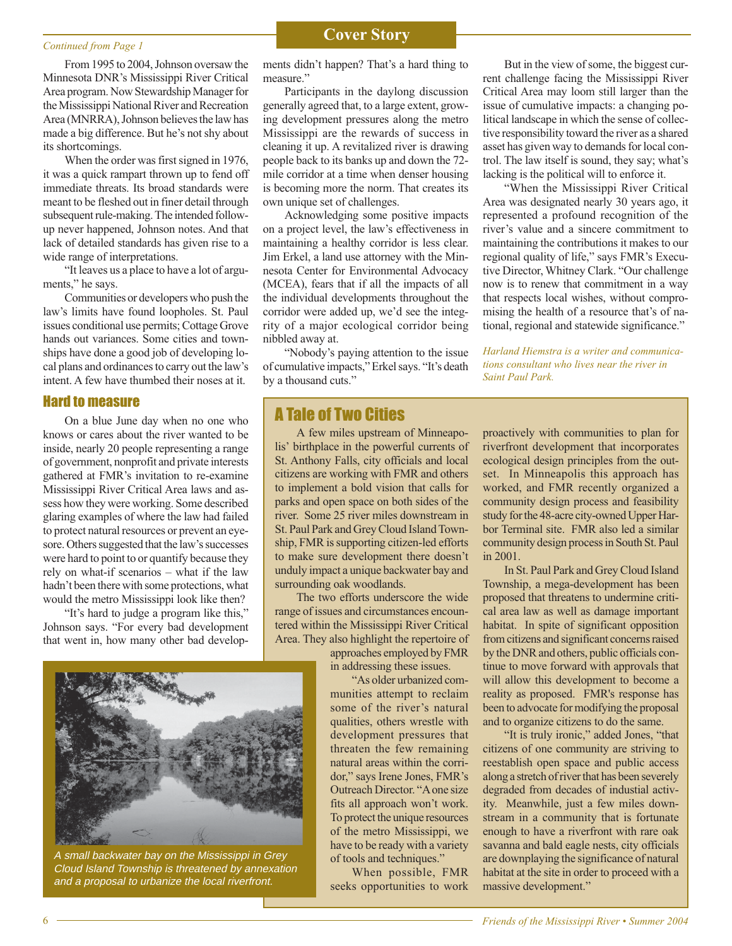### **Continued from Page 1 Cover Story**

From 1995 to 2004, Johnson oversaw the Minnesota DNR's Mississippi River Critical Area program. Now Stewardship Manager for the Mississippi National River and Recreation Area (MNRRA), Johnson believes the law has made a big difference. But he's not shy about its shortcomings.

When the order was first signed in 1976, it was a quick rampart thrown up to fend off immediate threats. Its broad standards were meant to be fleshed out in finer detail through subsequent rule-making. The intended followup never happened, Johnson notes. And that lack of detailed standards has given rise to a wide range of interpretations.

"It leaves us a place to have a lot of arguments," he says.

Communities or developers who push the law's limits have found loopholes. St. Paul issues conditional use permits; Cottage Grove hands out variances. Some cities and townships have done a good job of developing local plans and ordinances to carry out the law's intent. A few have thumbed their noses at it.

#### Hard to measure

On a blue June day when no one who knows or cares about the river wanted to be inside, nearly 20 people representing a range of government, nonprofit and private interests gathered at FMR's invitation to re-examine Mississippi River Critical Area laws and assess how they were working. Some described glaring examples of where the law had failed to protect natural resources or prevent an eyesore. Others suggested that the law's successes were hard to point to or quantify because they rely on what-if scenarios – what if the law hadn't been there with some protections, what would the metro Mississippi look like then?

"It's hard to judge a program like this," Johnson says. "For every bad development that went in, how many other bad develop-



A small backwater bay on the Mississippi in Grey Cloud Island Township is threatened by annexation and a proposal to urbanize the local riverfront.

ments didn't happen? That's a hard thing to measure."

Participants in the daylong discussion generally agreed that, to a large extent, growing development pressures along the metro Mississippi are the rewards of success in cleaning it up. A revitalized river is drawing people back to its banks up and down the 72 mile corridor at a time when denser housing is becoming more the norm. That creates its own unique set of challenges.

Acknowledging some positive impacts on a project level, the law's effectiveness in maintaining a healthy corridor is less clear. Jim Erkel, a land use attorney with the Minnesota Center for Environmental Advocacy (MCEA), fears that if all the impacts of all the individual developments throughout the corridor were added up, we'd see the integrity of a major ecological corridor being nibbled away at.

"Nobody's paying attention to the issue of cumulative impacts," Erkel says. "It's death by a thousand cuts."

#### A Tale of Two Cities

A few miles upstream of Minneapolis' birthplace in the powerful currents of St. Anthony Falls, city officials and local citizens are working with FMR and others to implement a bold vision that calls for parks and open space on both sides of the river. Some 25 river miles downstream in St. Paul Park and Grey Cloud Island Township, FMR is supporting citizen-led efforts to make sure development there doesn't unduly impact a unique backwater bay and surrounding oak woodlands.

The two efforts underscore the wide range of issues and circumstances encountered within the Mississippi River Critical Area. They also highlight the repertoire of

> approaches employed by FMR in addressing these issues.

"As older urbanized communities attempt to reclaim some of the river's natural qualities, others wrestle with development pressures that threaten the few remaining natural areas within the corridor," says Irene Jones, FMR's Outreach Director. "A one size fits all approach won't work. To protect the unique resources of the metro Mississippi, we have to be ready with a variety of tools and techniques."

When possible, FMR seeks opportunities to work

But in the view of some, the biggest current challenge facing the Mississippi River Critical Area may loom still larger than the issue of cumulative impacts: a changing political landscape in which the sense of collective responsibility toward the river as a shared asset has given way to demands for local control. The law itself is sound, they say; what's lacking is the political will to enforce it.

"When the Mississippi River Critical Area was designated nearly 30 years ago, it represented a profound recognition of the river's value and a sincere commitment to maintaining the contributions it makes to our regional quality of life," says FMR's Executive Director, Whitney Clark. "Our challenge now is to renew that commitment in a way that respects local wishes, without compromising the health of a resource that's of national, regional and statewide significance."

*Harland Hiemstra is a writer and communications consultant who lives near the river in Saint Paul Park.*

proactively with communities to plan for riverfront development that incorporates ecological design principles from the outset. In Minneapolis this approach has worked, and FMR recently organized a community design process and feasibility study for the 48-acre city-owned Upper Harbor Terminal site. FMR also led a similar community design process in South St. Paul in 2001.

In St. Paul Park and Grey Cloud Island Township, a mega-development has been proposed that threatens to undermine critical area law as well as damage important habitat. In spite of significant opposition from citizens and significant concerns raised by the DNR and others, public officials continue to move forward with approvals that will allow this development to become a reality as proposed. FMR's response has been to advocate for modifying the proposal and to organize citizens to do the same.

"It is truly ironic," added Jones, "that citizens of one community are striving to reestablish open space and public access along a stretch of river that has been severely degraded from decades of industial activity. Meanwhile, just a few miles downstream in a community that is fortunate enough to have a riverfront with rare oak savanna and bald eagle nests, city officials are downplaying the significance of natural habitat at the site in order to proceed with a massive development."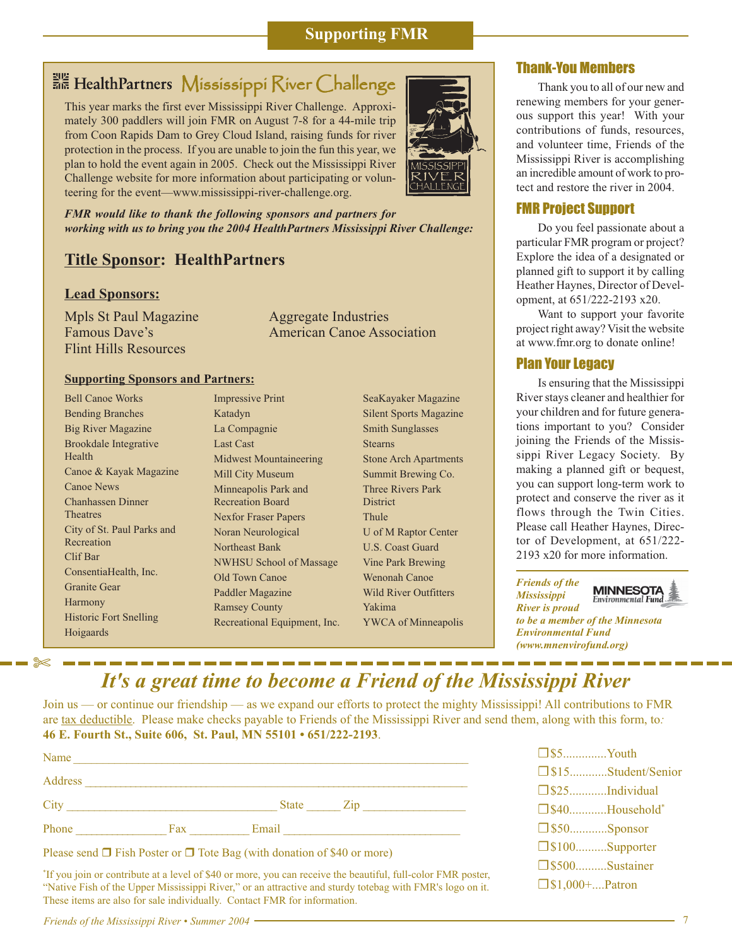#### **Supporting FMR**

### **Mississippi River Challenge** Challenge

This year marks the first ever Mississippi River Challenge. Approximately 300 paddlers will join FMR on August 7-8 for a 44-mile trip from Coon Rapids Dam to Grey Cloud Island, raising funds for river protection in the process. If you are unable to join the fun this year, we plan to hold the event again in 2005. Check out the Mississippi River Challenge website for more information about participating or volunteering for the event—www.mississippi-river-challenge.org.



*FMR would like to thank the following sponsors and partners for working with us to bring you the 2004 HealthPartners Mississippi River Challenge:*

#### **Title Sponsor: HealthPartners**

#### **Lead Sponsors:**

Mpls St Paul Magazine Famous Dave's Flint Hills Resources

Aggregate Industries American Canoe Association

#### **Supporting Sponsors and Partners:**

| <b>Bell Canoe Works</b>       |
|-------------------------------|
| <b>Bending Branches</b>       |
| <b>Big River Magazine</b>     |
| <b>Brookdale</b> Integrative  |
| Health                        |
| Canoe & Kayak Magazine        |
| <b>Canoe News</b>             |
| <b>Chanhassen Dinner</b>      |
| <b>Theatres</b>               |
| City of St. Paul Parks and    |
| Recreation                    |
| Clif Bar                      |
| ConsentiaHealth, Inc.         |
| <b>Granite Gear</b>           |
| <b>Harmony</b>                |
| <b>Historic Fort Snelling</b> |
| Hoigaards                     |

✄

Impressive Print Katadyn La Compagnie Last Cast Midwest Mountaineering Mill City Museum Minneapolis Park and Recreation Board Nexfor Fraser Papers Noran Neurological Northeast Bank NWHSU School of Massage Old Town Canoe Paddler Magazine Ramsey County Recreational Equipment, Inc. SeaKayaker Magazine Silent Sports Magazine Smith Sunglasses Stearns Stone Arch Apartments Summit Brewing Co. Three Rivers Park **District** Thule U of M Raptor Center U.S. Coast Guard Vine Park Brewing Wenonah Canoe Wild River Outfitters Yakima YWCA of Minneapolis

#### Thank-You Members

Thank you to all of our new and renewing members for your generous support this year! With your contributions of funds, resources, and volunteer time, Friends of the Mississippi River is accomplishing an incredible amount of work to protect and restore the river in 2004.

#### FMR Project Support

Do you feel passionate about a particular FMR program or project? Explore the idea of a designated or planned gift to support it by calling Heather Haynes, Director of Development, at 651/222-2193 x20.

Want to support your favorite project right away? Visit the website at www.fmr.org to donate online!

#### Plan Your Legacy

Is ensuring that the Mississippi River stays cleaner and healthier for your children and for future generations important to you? Consider joining the Friends of the Mississippi River Legacy Society. By making a planned gift or bequest, you can support long-term work to protect and conserve the river as it flows through the Twin Cities. Please call Heather Haynes, Director of Development, at 651/222- 2193 x20 for more information.

*Friends of the Mississippi*

**MINNESOTA**<br>Environmental Fund

*River is proud to be a member of the Minnesota Environmental Fund (www.mnenvirofund.org)*

## *It's a great time to become a Friend of the Mississippi River*

Join us — or continue our friendship — as we expand our efforts to protect the mighty Mississippi! All contributions to FMR are tax deductible. Please make checks payable to Friends of the Mississippi River and send them, along with this form, to*:* **46 E. Fourth St., Suite 606, St. Paul, MN 55101** *•* **651/222-2193**.

| Name    |     |              |                |
|---------|-----|--------------|----------------|
| Address |     |              |                |
| City    |     | <b>State</b> | $\mathsf{Zip}$ |
| Phone   | Fax | Email        |                |

Please send  $\Box$  Fish Poster or  $\Box$  Tote Bag (with donation of \$40 or more)

\* If you join or contribute at a level of \$40 or more, you can receive the beautiful, full-color FMR poster, "Native Fish of the Upper Mississippi River," or an attractive and sturdy totebag with FMR's logo on it. These items are also for sale individually. Contact FMR for information.

| $\Box$ \$5Youth       |                      |
|-----------------------|----------------------|
|                       | □ \$15Student/Senior |
|                       |                      |
| □ \$40Household*      |                      |
| $\Box$ \$50Sponsor    |                      |
| $\Box$ \$100Supporter |                      |
| □ \$500Sustainer      |                      |
| $\Box$ \$1,000+Patron |                      |

*Friends of the Mississippi River • Summer 2004* 7